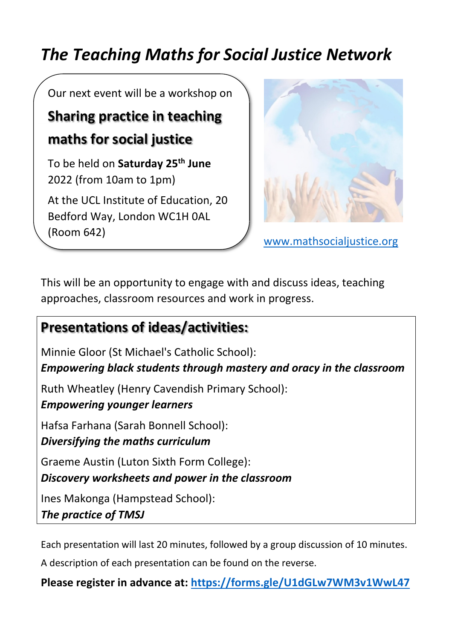# *The Teaching Maths for Social Justice Network*

Our next event will be a workshop on

## **Sharing practice in teaching maths for social justice**

To be held on **Saturday 25th June**  2022 (from 10am to 1pm)

At the UCL Institute of Education, 20 Bedford Way, London WC1H 0AL (Room 642)



www.mathsocialiustice.org

This will be an opportunity to engage with and discuss ideas, teaching approaches, classroom resources and work in progress.

### **Presentations of ideas/activities:**

Minnie Gloor (St Michael's Catholic School): *Empowering black students through mastery and oracy in the classroom*  Ruth Wheatley (Henry Cavendish Primary School): *Empowering younger learners*  Hafsa Farhana (Sarah Bonnell School): *Diversifying the maths curriculum* Graeme Austin (Luton Sixth Form College): *Discovery worksheets and power in the classroom* Ines Makonga (Hampstead School): *The practice of TMSJ*

Each presentation will last 20 minutes, followed by a group discussion of 10 minutes.

A description of each presentation can be found on the reverse.

**Please register in advance at: https://forms.gle/U1dGLw7WM3v1WwL47**